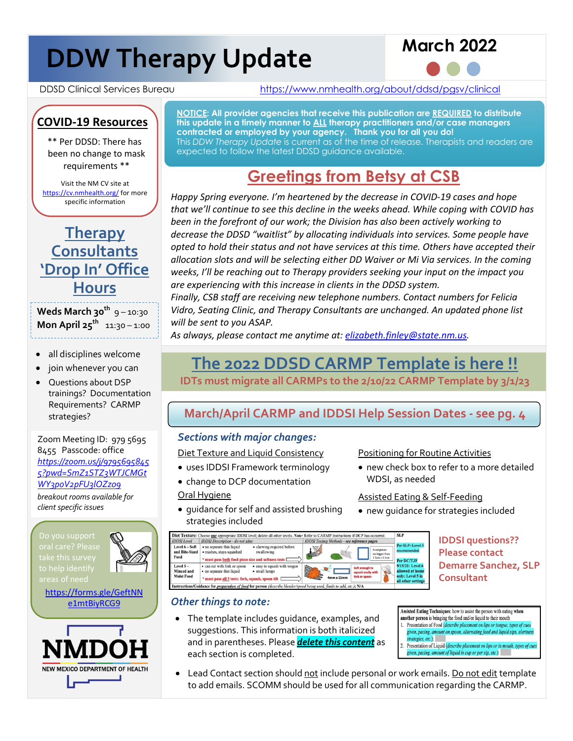# **DDW Therapy Update**



DDSD Clinical Services Bureau https://www.nmhealth.org/about/ddsd/pgsv/clinical

# **COVID-19 Resources**

\*\* Per DDSD: There has been no change to mask requirements \*\*

Visit the NM CV site at https://cv.nmhealth.org/ for more specific information



Weds March 30<sup>th</sup> 9-10:30 **Mon April 25<sup>th</sup> 11:30 – 1:00** 

- all disciplines welcome
- join whenever you can
- Questions about DSP trainings? Documentation Requirements? CARMP strategies?

Zoom Meeting ID: 979 5695 8455 Passcode: office *https://zoom.us/j/9795695845 5?pwd=SmZ1STZ3WTJCMGt WY3poV2pFU3lOZz09 breakout rooms available for client specific issues*

oral care? Please to help identify areas of need



https://forms.gle/GeftNN e1mtBiyRCG9



**NOTICE: All provider agencies that receive this publication are REQUIRED to distribute this update in a timely manner to ALL therapy practitioners and/or case managers contracted or employed by your agency. Thank you for all you do!** 

This *DDW Therapy Update* is current as of the time of release. Therapists and readers are expected to follow the latest DDSD guidance available.

# **Greetings from Betsy at CSB**

*Happy Spring everyone. I'm heartened by the decrease in COVID-19 cases and hope that we'll continue to see this decline in the weeks ahead. While coping with COVID has been in the forefront of our work; the Division has also been actively working to decrease the DDSD "waitlist" by allocating individuals into services. Some people have opted to hold their status and not have services at this time. Others have accepted their allocation slots and will be selecting either DD Waiver or Mi Via services. In the coming weeks, I'll be reaching out to Therapy providers seeking your input on the impact you are experiencing with this increase in clients in the DDSD system.* 

*Finally, CSB staff are receiving new telephone numbers. Contact numbers for Felicia Vidro, Seating Clinic, and Therapy Consultants are unchanged. An updated phone list will be sent to you ASAP.* 

*As always, please contact me anytime at: elizabeth.finley@state.nm.us.*

# **The 2022 DDSD CARMP Template is here !!**

**IDTs must migrate all CARMPs to the 2/10/22 CARMP Template by 3/1/23**

### **March/April CARMP and IDDSI Help Session Dates - see pg. 4**

#### *Sections with major changes:*

Diet Texture and Liquid Consistency

• uses IDDSI Framework terminology

• guidance for self and assisted brushing

- change to DCP documentation Oral Hygiene
- Positioning for Routine Activities
- new check box to refer to a more detailed WDSI, as needed

Assisted Eating & Self-Feeding

- new guidance for strategies included
- $\overline{\text{SLP}}$ Per SLP: Level 5 Level 6 - Soft <br>and Bite-Sized <br>washes, stays squashed<br>Food <br>we must ness hoth food niece • chewing required before<br>swallowing  $*$  must pass <u>both</u> food piece size and softness tests  $\Box$ Per DC/TJF<br>9/15/21: Level 6 where the state of the state of the state of the state of the state of the Michael Schedule of the Michael Schedule Michael Schedule Michael Schedule Michael Schedule Michael Schedule Michael Schedule Michael Schedule Sche  $\bullet$  $\Box$ allowed at home<br>only: Level 5 in squash eas<br>fork or spo \* must pass  $\underline{\text{all 3}}$  tests: fork, squash, spoon tilt  $\Box$  $4mm \times 15mm$ only: Level 5 in<br>all other setting structions/Guidance for preparation of food for person (describe blender/sp ed being used, fluids to add, etc.); N/A

#### *Other things to note:*

strategies included

• The template includes guidance, examples, and suggestions. This information is both italicized and in parentheses. Please *delete this content* as each section is completed.

**Demarre Sanchez, SLP Consultant**

**IDDSI questions?? Please contact** 

- Assisted Eating Techniques: how to assist the person with eating when another person is bringing the food and/or liquid to their mouth 1. Presentation of Food (describe placement on lips or tongue, types of cues
- given, pacing, amount on spoon, alternating food and liquid sips, alertness strategies, etc.): 2. Presentation of Liquid (describe placement on lips or in mouth, types of cues
	- given, pacing, amount of liquid in cup or per sip, etc.):
- Lead Contact section should not include personal or work emails. Do not edit template to add emails. SCOMM should be used for all communication regarding the CARMP.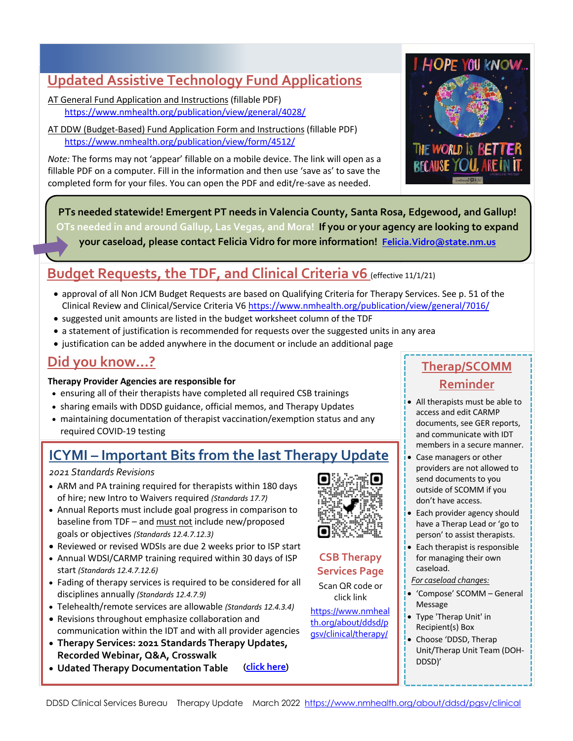### **Updated Assistive Technology Fund Applications**

AT General Fund Application and Instructions (fillable PDF) https://www.nmhealth.org/publication/view/general/4028/

AT DDW (Budget-Based) Fund Application Form and Instructions (fillable PDF) https://www.nmhealth.org/publication/view/form/4512/

*Note:* The forms may not 'appear' fillable on a mobile device. The link will open as a fillable PDF on a computer. Fill in the information and then use 'save as' to save the completed form for your files. You can open the PDF and edit/re-save as needed.



**PTs needed statewide! Emergent PT needs in Valencia County, Santa Rosa, Edgewood, and Gallup! OTs needed in and around Gallup, Las Vegas, and Mora! If you or your agency are looking to expand your caseload, please contact Felicia Vidro for more information! Felicia.Vidro@state.nm.us**

## **Budget Requests, the TDF, and Clinical Criteria v6** (effective 11/1/21)

- approval of all Non JCM Budget Requests are based on Qualifying Criteria for Therapy Services. See p. 51 of the Clinical Review and Clinical/Service Criteria V6 https://www.nmhealth.org/publication/view/general/7016/
- suggested unit amounts are listed in the budget worksheet column of the TDF
- a statement of justification is recommended for requests over the suggested units in any area
- justification can be added anywhere in the document or include an additional page

### **Did you know…?**

#### **Therapy Provider Agencies are responsible for**

- ensuring all of their therapists have completed all required CSB trainings
- sharing emails with DDSD guidance, official memos, and Therapy Updates
- maintaining documentation of therapist vaccination/exemption status and any required COVID-19 testing

# **ICYMI – Important Bits from the last Therapy Update**

*2021 Standards Revisions*

- ARM and PA training required for therapists within 180 days of hire; new Intro to Waivers required *(Standards 17.7)*
- Annual Reports must include goal progress in comparison to baseline from TDF – and must not include new/proposed goals or objectives *(Standards 12.4.7.12.3)*
- Reviewed or revised WDSIs are due 2 weeks prior to ISP start
- Annual WDSI/CARMP training required within 30 days of ISP start *(Standards 12.4.7.12.6)*
- Fading of therapy services is required to be considered for all disciplines annually *(Standards 12.4.7.9)*
- Telehealth/remote services are allowable *(Standards 12.4.3.4)*
- Revisions throughout emphasize collaboration and communication within the IDT and with all provider agencies
- **Therapy Services: 2021 Standards Therapy Updates, Recorded Webinar, Q&A, Crosswalk**
- **Udated Therapy Documentation Table (click here)**



#### **CSB Therapy Services Page**

Scan QR code or click link

https://www.nmheal th.org/about/ddsd/p gsv/clinical/therapy/

### **Therap/SCOMM Reminder**

- All therapists must be able to access and edit CARMP documents, see GER reports, and communicate with IDT members in a secure manner.
- Case managers or other providers are not allowed to send documents to you outside of SCOMM if you don't have access.
- Each provider agency should have a Therap Lead or 'go to person' to assist therapists.
- Each therapist is responsible for managing their own caseload.
- *For caseload changes:*
- 'Compose' SCOMM General Message
- Type 'Therap Unit' in Recipient(s) Box
- Choose 'DDSD, Therap Unit/Therap Unit Team (DOH-DDSD)'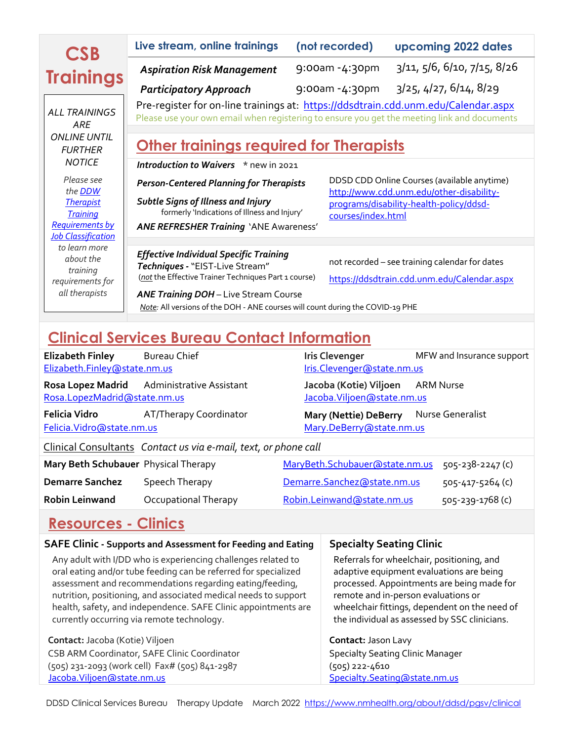| <b>CSB</b>                                          | Live stream, online trainings                                                                                                                                                     | (not recorded)     | upcoming 2022 dates                                                                     |  |  |
|-----------------------------------------------------|-----------------------------------------------------------------------------------------------------------------------------------------------------------------------------------|--------------------|-----------------------------------------------------------------------------------------|--|--|
| <b>Trainings</b>                                    | <b>Aspiration Risk Management</b>                                                                                                                                                 | 9:00am -4:30pm     | 3/11, 5/6, 6/10, 7/15, 8/26                                                             |  |  |
|                                                     | <b>Participatory Approach</b>                                                                                                                                                     | 9:00am -4:30pm     | 3/25, 4/27, 6/14, 8/29                                                                  |  |  |
| <b>ALL TRAININGS</b><br>ARE                         | Pre-register for on-line trainings at: https://ddsdtrain.cdd.unm.edu/Calendar.aspx<br>Please use your own email when registering to ensure you get the meeting link and documents |                    |                                                                                         |  |  |
| <b>ONLINE UNTIL</b><br><b>FURTHER</b>               | <b>Other trainings required for Therapists</b><br>Introduction to Waivers * new in 2021                                                                                           |                    |                                                                                         |  |  |
| <b>NOTICE</b>                                       |                                                                                                                                                                                   |                    |                                                                                         |  |  |
| Please see<br>the <b>DDW</b>                        | <b>Person-Centered Planning for Therapists</b>                                                                                                                                    |                    | DDSD CDD Online Courses (available anytime)<br>http://www.cdd.unm.edu/other-disability- |  |  |
| <b>Therapist</b><br><b>Training</b>                 | <b>Subtle Signs of Illness and Injury</b><br>formerly 'Indications of Illness and Injury'                                                                                         | courses/index.html | programs/disability-health-policy/ddsd-                                                 |  |  |
| <b>Requirements by</b><br><b>Job Classification</b> | <b>ANE REFRESHER Training 'ANE Awareness'</b>                                                                                                                                     |                    |                                                                                         |  |  |
| to learn more                                       |                                                                                                                                                                                   |                    |                                                                                         |  |  |
| about the<br>training                               | <b>Effective Individual Specific Training</b><br>Techniques - "EIST-Live Stream"                                                                                                  |                    | not recorded - see training calendar for dates                                          |  |  |
| requirements for                                    | (not the Effective Trainer Techniques Part 1 course)                                                                                                                              |                    | https://ddsdtrain.cdd.unm.edu/Calendar.aspx                                             |  |  |
| all therapists                                      | <b>ANE Training DOH</b> - Live Stream Course                                                                                                                                      |                    |                                                                                         |  |  |
|                                                     | Note: All versions of the DOH - ANE courses will count during the COVID-19 PHE                                                                                                    |                    |                                                                                         |  |  |
|                                                     |                                                                                                                                                                                   |                    |                                                                                         |  |  |

# **Clinical Services Bureau Contact Information**

| <b>Elizabeth Finley</b><br>Elizabeth.Finley@state.nm.us         | <b>Bureau Chief</b>      |  | <b>Iris Clevenger</b><br>Iris.Clevenger@state.nm.us   |  | MFW and Insurance support |
|-----------------------------------------------------------------|--------------------------|--|-------------------------------------------------------|--|---------------------------|
| <b>Rosa Lopez Madrid</b><br>Rosa.LopezMadrid@state.nm.us        | Administrative Assistant |  | Jacoba (Kotie) Viljoen<br>Jacoba. Viljoen@state.nm.us |  | ARM Nurse                 |
| Felicia Vidro<br>Felicia. Vidro@state.nm.us                     | AT/Therapy Coordinator   |  | Mary (Nettie) DeBerry<br>Mary.DeBerry@state.nm.us     |  | Nurse Generalist          |
| Clinical Consultants Contact us via e-mail, text, or phone call |                          |  |                                                       |  |                           |
| Mary Beth Schubauer Physical Therapy                            |                          |  | MaryBeth.Schubauer@state.nm.us                        |  | $505 - 238 - 2247$ (c)    |
| <b>Demarre Sanchez</b>                                          | Speech Therapy           |  | Demarre.Sanchez@state.nm.us                           |  | 505-417-5264 (c)          |
| <b>Robin Leinwand</b>                                           | Occupational Therapy     |  | Robin.Leinwand@state.nm.us                            |  | 505-239-1768 (c)          |
|                                                                 |                          |  |                                                       |  |                           |

# **Resources - Clinics**

| <b>SAFE Clinic - Supports and Assessment for Feeding and Eating</b>                                                                                                                                                                                                                                                                                                             | <b>Specialty Seating Clinic</b>                                                                                                                                                                                                                                               |  |  |
|---------------------------------------------------------------------------------------------------------------------------------------------------------------------------------------------------------------------------------------------------------------------------------------------------------------------------------------------------------------------------------|-------------------------------------------------------------------------------------------------------------------------------------------------------------------------------------------------------------------------------------------------------------------------------|--|--|
| Any adult with I/DD who is experiencing challenges related to<br>oral eating and/or tube feeding can be referred for specialized<br>assessment and recommendations regarding eating/feeding,<br>nutrition, positioning, and associated medical needs to support<br>health, safety, and independence. SAFE Clinic appointments are<br>currently occurring via remote technology. | Referrals for wheelchair, positioning, and<br>adaptive equipment evaluations are being<br>processed. Appointments are being made for<br>remote and in-person evaluations or<br>wheelchair fittings, dependent on the need of<br>the individual as assessed by SSC clinicians. |  |  |
| Contact: Jacoba (Kotie) Viljoen                                                                                                                                                                                                                                                                                                                                                 | Contact: Jason Lavy                                                                                                                                                                                                                                                           |  |  |
| CSB ARM Coordinator, SAFE Clinic Coordinator                                                                                                                                                                                                                                                                                                                                    | <b>Specialty Seating Clinic Manager</b>                                                                                                                                                                                                                                       |  |  |
| (505) 231-2093 (work cell) Fax# (505) 841-2987                                                                                                                                                                                                                                                                                                                                  | (505) 222-4610                                                                                                                                                                                                                                                                |  |  |
| Jacoba. Viljoen@state.nm.us                                                                                                                                                                                                                                                                                                                                                     | Specialty.Seating@state.nm.us                                                                                                                                                                                                                                                 |  |  |